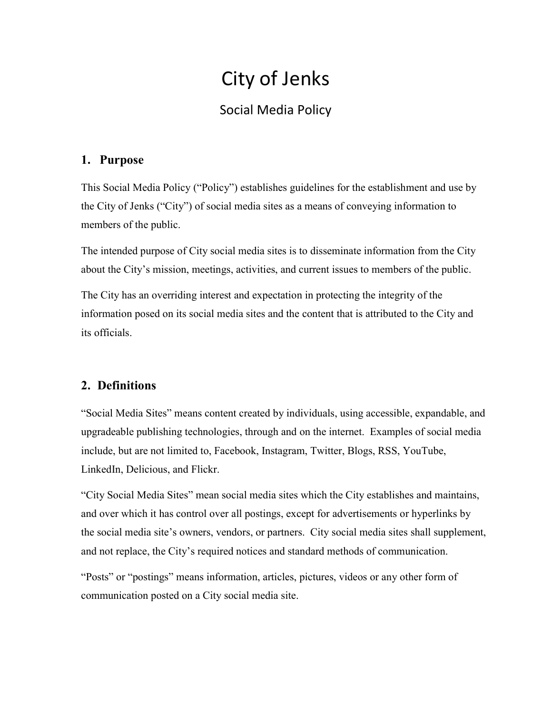# City of Jenks

## Social Media Policy

## 1. Purpose

This Social Media Policy ("Policy") establishes guidelines for the establishment and use by the City of Jenks ("City") of social media sites as a means of conveying information to members of the public.

The intended purpose of City social media sites is to disseminate information from the City about the City's mission, meetings, activities, and current issues to members of the public.

The City has an overriding interest and expectation in protecting the integrity of the information posed on its social media sites and the content that is attributed to the City and its officials.

## 2. Definitions

"Social Media Sites" means content created by individuals, using accessible, expandable, and upgradeable publishing technologies, through and on the internet. Examples of social media include, but are not limited to, Facebook, Instagram, Twitter, Blogs, RSS, YouTube, LinkedIn, Delicious, and Flickr.

"City Social Media Sites" mean social media sites which the City establishes and maintains, and over which it has control over all postings, except for advertisements or hyperlinks by the social media site's owners, vendors, or partners. City social media sites shall supplement, and not replace, the City's required notices and standard methods of communication.

"Posts" or "postings" means information, articles, pictures, videos or any other form of communication posted on a City social media site.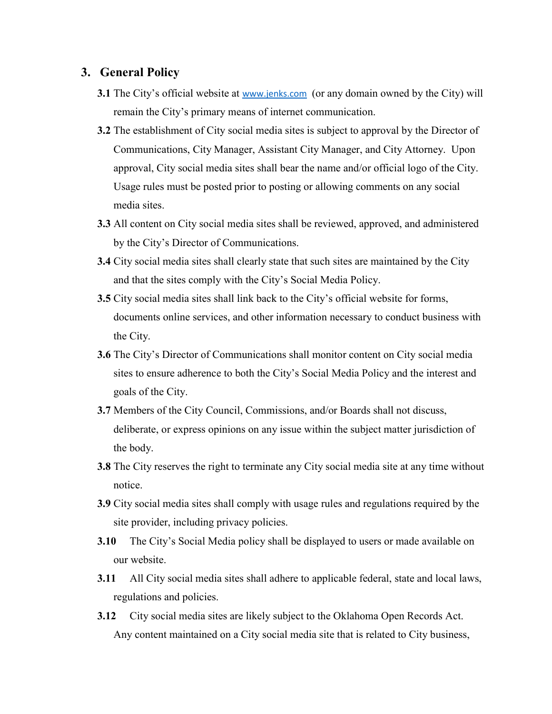#### 3. General Policy

- **3.1** The City's official website at www.jenks.com (or any domain owned by the City) will remain the City's primary means of internet communication.
- 3.2 The establishment of City social media sites is subject to approval by the Director of Communications, City Manager, Assistant City Manager, and City Attorney. Upon approval, City social media sites shall bear the name and/or official logo of the City. Usage rules must be posted prior to posting or allowing comments on any social media sites.
- 3.3 All content on City social media sites shall be reviewed, approved, and administered by the City's Director of Communications.
- 3.4 City social media sites shall clearly state that such sites are maintained by the City and that the sites comply with the City's Social Media Policy.
- 3.5 City social media sites shall link back to the City's official website for forms, documents online services, and other information necessary to conduct business with the City.
- 3.6 The City's Director of Communications shall monitor content on City social media sites to ensure adherence to both the City's Social Media Policy and the interest and goals of the City.
- 3.7 Members of the City Council, Commissions, and/or Boards shall not discuss, deliberate, or express opinions on any issue within the subject matter jurisdiction of the body.
- 3.8 The City reserves the right to terminate any City social media site at any time without notice.
- 3.9 City social media sites shall comply with usage rules and regulations required by the site provider, including privacy policies.
- 3.10 The City's Social Media policy shall be displayed to users or made available on our website.
- 3.11 All City social media sites shall adhere to applicable federal, state and local laws, regulations and policies.
- 3.12 City social media sites are likely subject to the Oklahoma Open Records Act. Any content maintained on a City social media site that is related to City business,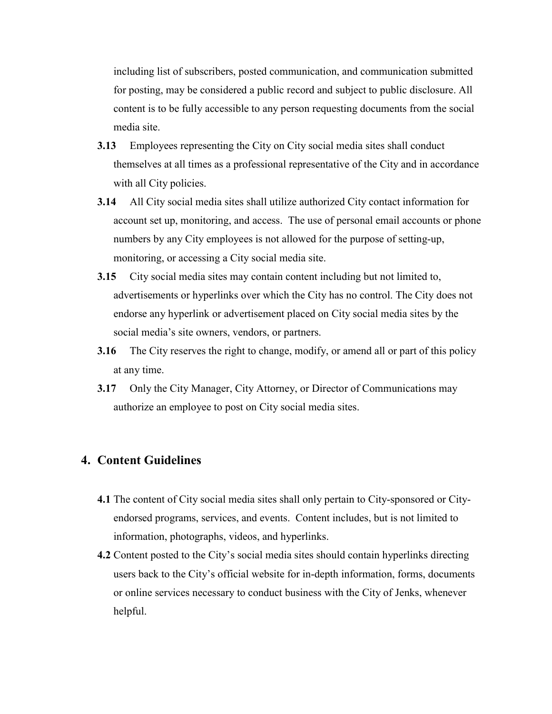including list of subscribers, posted communication, and communication submitted for posting, may be considered a public record and subject to public disclosure. All content is to be fully accessible to any person requesting documents from the social media site.

- 3.13 Employees representing the City on City social media sites shall conduct themselves at all times as a professional representative of the City and in accordance with all City policies.
- 3.14 All City social media sites shall utilize authorized City contact information for account set up, monitoring, and access. The use of personal email accounts or phone numbers by any City employees is not allowed for the purpose of setting-up, monitoring, or accessing a City social media site.
- 3.15 City social media sites may contain content including but not limited to, advertisements or hyperlinks over which the City has no control. The City does not endorse any hyperlink or advertisement placed on City social media sites by the social media's site owners, vendors, or partners.
- 3.16 The City reserves the right to change, modify, or amend all or part of this policy at any time.
- 3.17 Only the City Manager, City Attorney, or Director of Communications may authorize an employee to post on City social media sites.

### 4. Content Guidelines

- 4.1 The content of City social media sites shall only pertain to City-sponsored or Cityendorsed programs, services, and events. Content includes, but is not limited to information, photographs, videos, and hyperlinks.
- 4.2 Content posted to the City's social media sites should contain hyperlinks directing users back to the City's official website for in-depth information, forms, documents or online services necessary to conduct business with the City of Jenks, whenever helpful.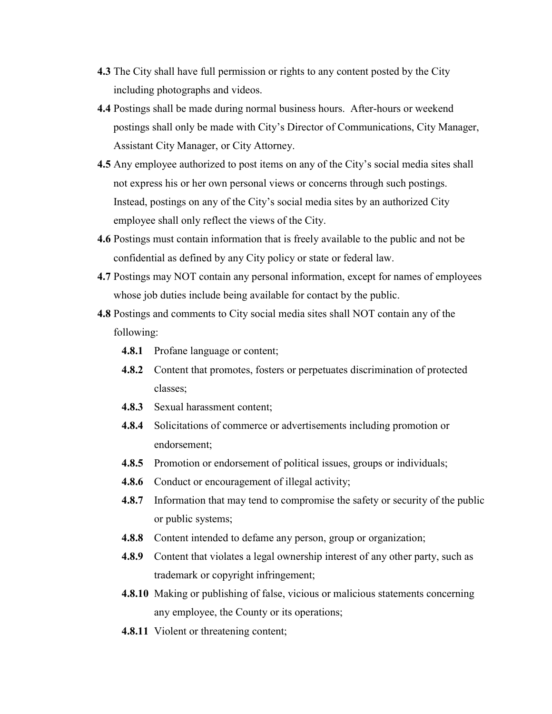- 4.3 The City shall have full permission or rights to any content posted by the City including photographs and videos.
- 4.4 Postings shall be made during normal business hours. After-hours or weekend postings shall only be made with City's Director of Communications, City Manager, Assistant City Manager, or City Attorney.
- 4.5 Any employee authorized to post items on any of the City's social media sites shall not express his or her own personal views or concerns through such postings. Instead, postings on any of the City's social media sites by an authorized City employee shall only reflect the views of the City.
- 4.6 Postings must contain information that is freely available to the public and not be confidential as defined by any City policy or state or federal law.
- 4.7 Postings may NOT contain any personal information, except for names of employees whose job duties include being available for contact by the public.
- 4.8 Postings and comments to City social media sites shall NOT contain any of the following:
	- 4.8.1 Profane language or content;
	- 4.8.2 Content that promotes, fosters or perpetuates discrimination of protected classes;
	- 4.8.3 Sexual harassment content;
	- 4.8.4 Solicitations of commerce or advertisements including promotion or endorsement;
	- 4.8.5 Promotion or endorsement of political issues, groups or individuals;
	- 4.8.6 Conduct or encouragement of illegal activity;
	- 4.8.7 Information that may tend to compromise the safety or security of the public or public systems;
	- 4.8.8 Content intended to defame any person, group or organization;
	- 4.8.9 Content that violates a legal ownership interest of any other party, such as trademark or copyright infringement;
	- 4.8.10 Making or publishing of false, vicious or malicious statements concerning any employee, the County or its operations;
	- 4.8.11 Violent or threatening content;